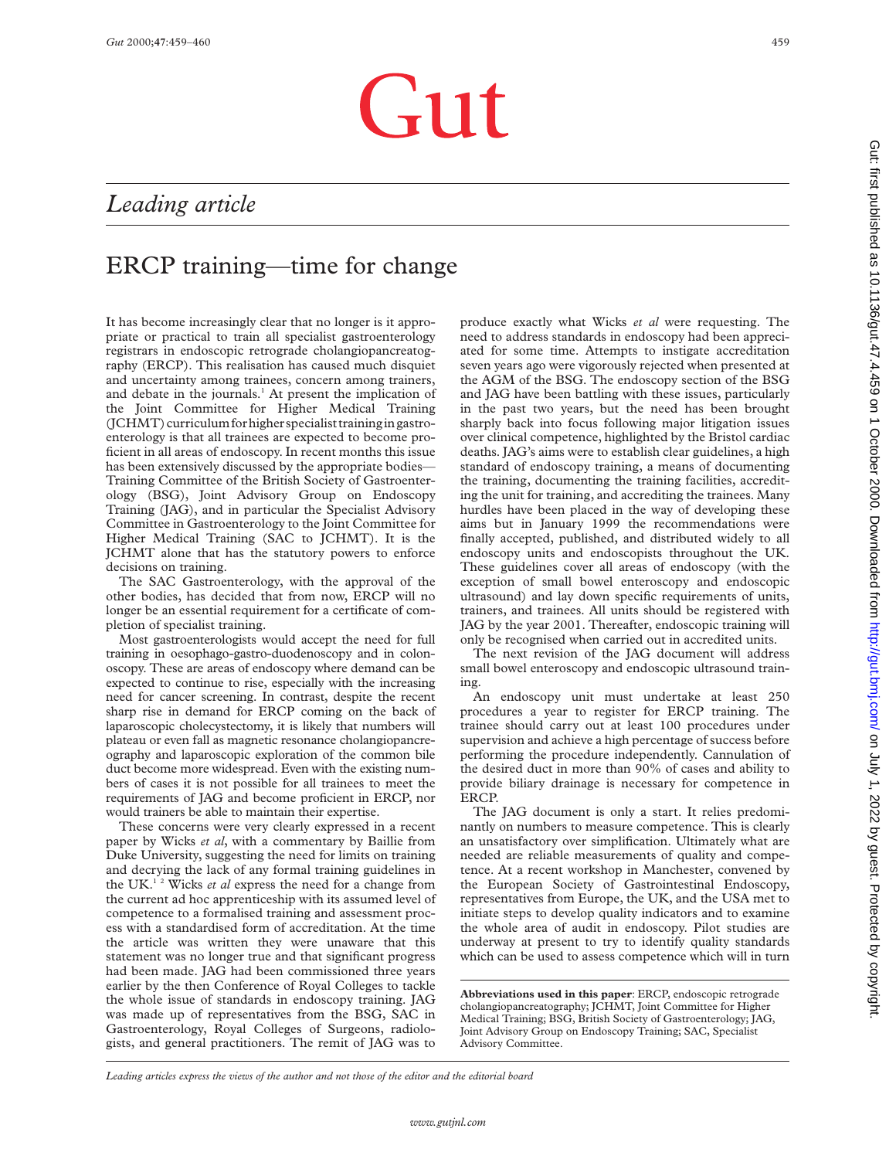## Gut

## *Leading article*

## ERCP training—time for change

It has become increasingly clear that no longer is it appropriate or practical to train all specialist gastroenterology registrars in endoscopic retrograde cholangiopancreatography (ERCP). This realisation has caused much disquiet and uncertainty among trainees, concern among trainers, and debate in the journals.<sup>1</sup> At present the implication of the Joint Committee for Higher Medical Training (JCHMT) curriculum for higher specialist training in gastroenterology is that all trainees are expected to become proficient in all areas of endoscopy. In recent months this issue has been extensively discussed by the appropriate bodies— Training Committee of the British Society of Gastroenterology (BSG), Joint Advisory Group on Endoscopy Training (JAG), and in particular the Specialist Advisory Committee in Gastroenterology to the Joint Committee for Higher Medical Training (SAC to JCHMT). It is the JCHMT alone that has the statutory powers to enforce decisions on training.

The SAC Gastroenterology, with the approval of the other bodies, has decided that from now, ERCP will no longer be an essential requirement for a certificate of completion of specialist training.

Most gastroenterologists would accept the need for full training in oesophago-gastro-duodenoscopy and in colonoscopy. These are areas of endoscopy where demand can be expected to continue to rise, especially with the increasing need for cancer screening. In contrast, despite the recent sharp rise in demand for ERCP coming on the back of laparoscopic cholecystectomy, it is likely that numbers will plateau or even fall as magnetic resonance cholangiopancreography and laparoscopic exploration of the common bile duct become more widespread. Even with the existing numbers of cases it is not possible for all trainees to meet the requirements of JAG and become proficient in ERCP, nor would trainers be able to maintain their expertise.

These concerns were very clearly expressed in a recent paper by Wicks *et al*, with a commentary by Baillie from Duke University, suggesting the need for limits on training and decrying the lack of any formal training guidelines in the UK.1 2 Wicks *et al* express the need for a change from the current ad hoc apprenticeship with its assumed level of competence to a formalised training and assessment process with a standardised form of accreditation. At the time the article was written they were unaware that this statement was no longer true and that significant progress had been made. JAG had been commissioned three years earlier by the then Conference of Royal Colleges to tackle the whole issue of standards in endoscopy training. JAG was made up of representatives from the BSG, SAC in Gastroenterology, Royal Colleges of Surgeons, radiologists, and general practitioners. The remit of JAG was to

produce exactly what Wicks *et al* were requesting. The need to address standards in endoscopy had been appreciated for some time. Attempts to instigate accreditation seven years ago were vigorously rejected when presented at the AGM of the BSG. The endoscopy section of the BSG and JAG have been battling with these issues, particularly in the past two years, but the need has been brought sharply back into focus following major litigation issues over clinical competence, highlighted by the Bristol cardiac deaths. JAG's aims were to establish clear guidelines, a high standard of endoscopy training, a means of documenting the training, documenting the training facilities, accrediting the unit for training, and accrediting the trainees. Many hurdles have been placed in the way of developing these aims but in January 1999 the recommendations were finally accepted, published, and distributed widely to all endoscopy units and endoscopists throughout the UK. These guidelines cover all areas of endoscopy (with the exception of small bowel enteroscopy and endoscopic ultrasound) and lay down specific requirements of units, trainers, and trainees. All units should be registered with JAG by the year 2001. Thereafter, endoscopic training will only be recognised when carried out in accredited units.

The next revision of the JAG document will address small bowel enteroscopy and endoscopic ultrasound training.

An endoscopy unit must undertake at least 250 procedures a year to register for ERCP training. The trainee should carry out at least 100 procedures under supervision and achieve a high percentage of success before performing the procedure independently. Cannulation of the desired duct in more than 90% of cases and ability to provide biliary drainage is necessary for competence in ERCP.

The JAG document is only a start. It relies predominantly on numbers to measure competence. This is clearly an unsatisfactory over simplification. Ultimately what are needed are reliable measurements of quality and competence. At a recent workshop in Manchester, convened by the European Society of Gastrointestinal Endoscopy, representatives from Europe, the UK, and the USA met to initiate steps to develop quality indicators and to examine the whole area of audit in endoscopy. Pilot studies are underway at present to try to identify quality standards which can be used to assess competence which will in turn

**Abbreviations used in this paper**: ERCP, endoscopic retrograde cholangiopancreatography; JCHMT, Joint Committee for Higher Medical Training; BSG, British Society of Gastroenterology; JAG, Joint Advisory Group on Endoscopy Training; SAC, Specialist Advisory Committee.

*Leading articles express the views of the author and not those of the editor and the editorial board*